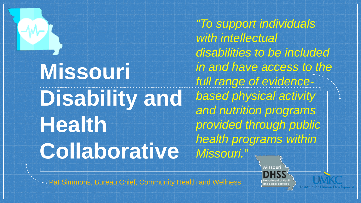# **Missouri Disability and Health Collaborative**

*"To support individuals with intellectual disabilities to be included in and have access to the full range of evidencebased physical activity and nutrition programs provided through public health programs within Missouri."* 

Pat Simmons, Bureau Chief, Community Health and Wellness

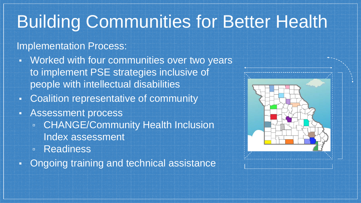## Building Communities for Better Health

#### Implementation Process:

- Worked with four communities over two years to implement PSE strategies inclusive of people with intellectual disabilities
- Coalition representative of community
- Assessment process
	- CHANGE/Community Health Inclusion Index assessment
	- Readiness
- **Ongoing training and technical assistance**

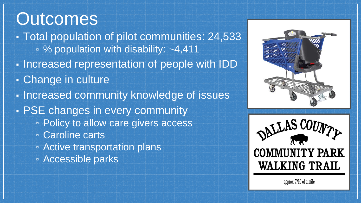### **Outcomes**

- Total population of pilot communities: 24,533 ▫ % population with disability: ~4,411
- Increased representation of people with IDD
- Change in culture
- **. Increased community knowledge of issues**
- **PSE changes in every community** 
	- Policy to allow care givers access
	- Caroline carts
	- Active transportation plans
	- Accessible parks





approx. 7/10 of a mile